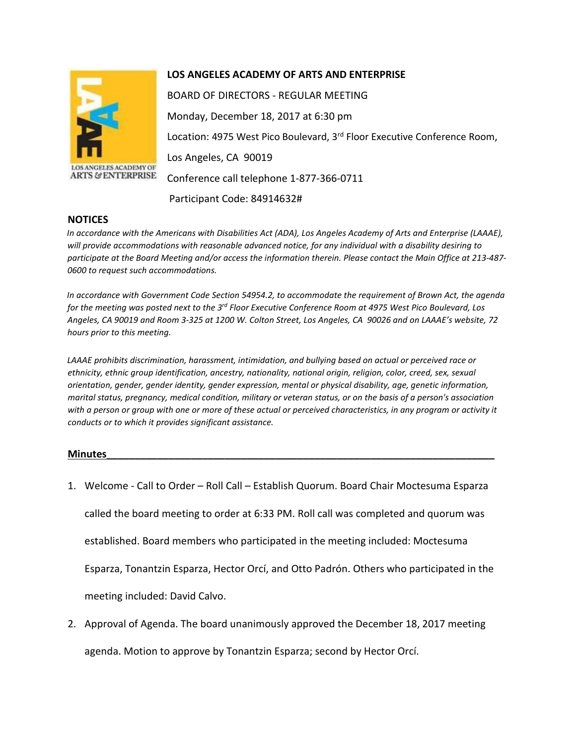

**ARTS & ENTERPRISE** 

## **LOS ANGELES ACADEMY OF ARTS AND ENTERPRISE**

BOARD OF DIRECTORS - REGULAR MEETING Monday, December 18, 2017 at 6:30 pm Location: 4975 West Pico Boulevard, 3<sup>rd</sup> Floor Executive Conference Room, Los Angeles, CA 90019 Conference call telephone 1-877-366-0711 Participant Code: 84914632#

## **NOTICES**

*In accordance with the Americans with Disabilities Act (ADA), Los Angeles Academy of Arts and Enterprise (LAAAE), will provide accommodations with reasonable advanced notice, for any individual with a disability desiring to participate at the Board Meeting and/or access the information therein. Please contact the Main Office at 213-487- 0600 to request such accommodations.* 

*In accordance with Government Code Section 54954.2, to accommodate the requirement of Brown Act, the agenda for the meeting was posted next to the 3rd Floor Executive Conference Room at 4975 West Pico Boulevard, Los Angeles, CA 90019 and Room 3-325 at 1200 W. Colton Street, Los Angeles, CA 90026 and on LAAAE's website, 72 hours prior to this meeting.* 

*LAAAE prohibits discrimination, harassment, intimidation, and bullying based on actual or perceived race or ethnicity, ethnic group identification, ancestry, nationality, national origin, religion, color, creed, sex, sexual orientation, gender, gender identity, gender expression, mental or physical disability, age, genetic information, marital status, pregnancy, medical condition, military or veteran status, or on the basis of a person's association with a person or group with one or more of these actual or perceived characteristics, in any program or activity it conducts or to which it provides significant assistance.* 

## **Minutes\_\_\_\_\_\_\_\_\_\_\_\_\_\_\_\_\_\_\_\_\_\_\_\_\_\_\_\_\_\_\_\_\_\_\_\_\_\_\_\_\_\_\_\_\_\_\_\_\_\_\_\_\_\_\_\_\_\_\_\_\_\_\_\_\_\_\_\_\_**

1. Welcome - Call to Order – Roll Call – Establish Quorum. Board Chair Moctesuma Esparza

called the board meeting to order at 6:33 PM. Roll call was completed and quorum was

established. Board members who participated in the meeting included: Moctesuma

Esparza, Tonantzin Esparza, Hector Orcí, and Otto Padrón. Others who participated in the

meeting included: David Calvo.

2. Approval of Agenda. The board unanimously approved the December 18, 2017 meeting agenda. Motion to approve by Tonantzin Esparza; second by Hector Orcí.